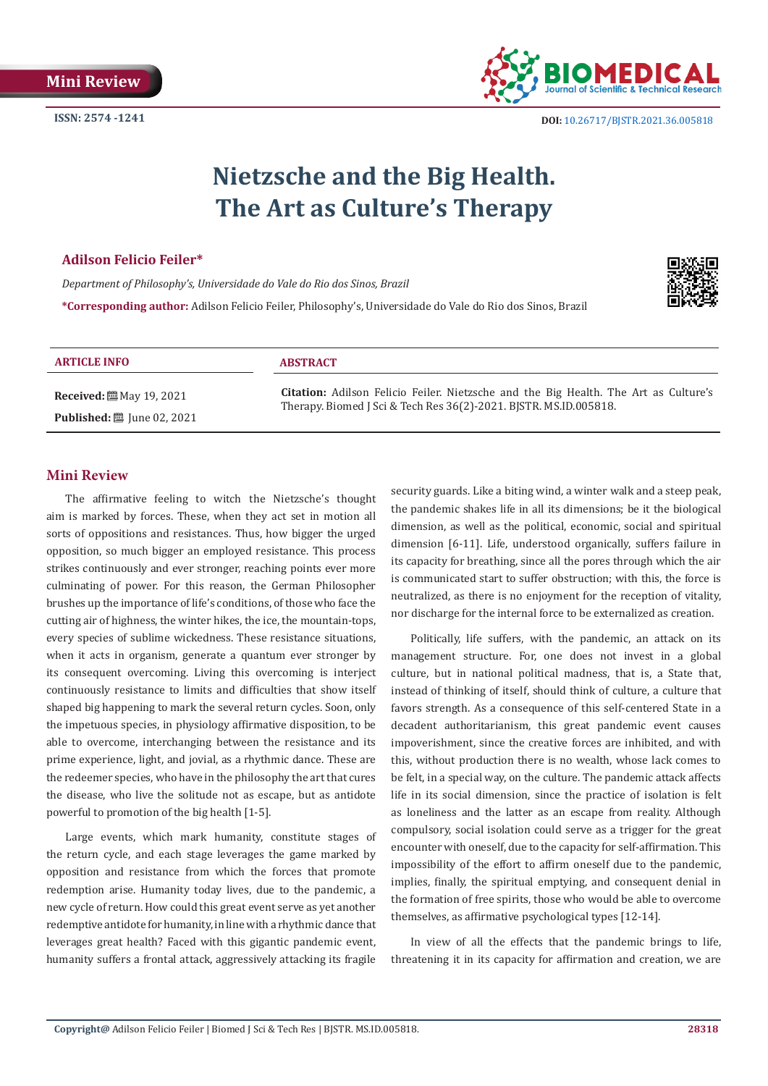

 **DOI:** [10.26717/BJSTR.2021.36.005818](https://dx.doi.org/10.26717/BJSTR.2021.36.005818)

# **Nietzsche and the Big Health. The Art as Culture's Therapy**

## **Adilson Felicio Feiler\***

*Department of Philosophy's, Universidade do Vale do Rio dos Sinos, Brazil* **\*Corresponding author:** Adilson Felicio Feiler, Philosophy's, Universidade do Vale do Rio dos Sinos, Brazil



#### **ARTICLE INFO ABSTRACT**

**Received:** ■ May 19, 2021 **Published:** ■ June 02, 2021

**Citation:** Adilson Felicio Feiler. Nietzsche and the Big Health. The Art as Culture's Therapy. Biomed J Sci & Tech Res 36(2)-2021. BJSTR. MS.ID.005818.

# **Mini Review**

The affirmative feeling to witch the Nietzsche's thought aim is marked by forces. These, when they act set in motion all sorts of oppositions and resistances. Thus, how bigger the urged opposition, so much bigger an employed resistance. This process strikes continuously and ever stronger, reaching points ever more culminating of power. For this reason, the German Philosopher brushes up the importance of life's conditions, of those who face the cutting air of highness, the winter hikes, the ice, the mountain-tops, every species of sublime wickedness. These resistance situations, when it acts in organism, generate a quantum ever stronger by its consequent overcoming. Living this overcoming is interject continuously resistance to limits and difficulties that show itself shaped big happening to mark the several return cycles. Soon, only the impetuous species, in physiology affirmative disposition, to be able to overcome, interchanging between the resistance and its prime experience, light, and jovial, as a rhythmic dance. These are the redeemer species, who have in the philosophy the art that cures the disease, who live the solitude not as escape, but as antidote powerful to promotion of the big health [1-5].

Large events, which mark humanity, constitute stages of the return cycle, and each stage leverages the game marked by opposition and resistance from which the forces that promote redemption arise. Humanity today lives, due to the pandemic, a new cycle of return. How could this great event serve as yet another redemptive antidote for humanity, in line with a rhythmic dance that leverages great health? Faced with this gigantic pandemic event, humanity suffers a frontal attack, aggressively attacking its fragile

security guards. Like a biting wind, a winter walk and a steep peak, the pandemic shakes life in all its dimensions; be it the biological dimension, as well as the political, economic, social and spiritual dimension [6-11]. Life, understood organically, suffers failure in its capacity for breathing, since all the pores through which the air is communicated start to suffer obstruction; with this, the force is neutralized, as there is no enjoyment for the reception of vitality, nor discharge for the internal force to be externalized as creation.

Politically, life suffers, with the pandemic, an attack on its management structure. For, one does not invest in a global culture, but in national political madness, that is, a State that, instead of thinking of itself, should think of culture, a culture that favors strength. As a consequence of this self-centered State in a decadent authoritarianism, this great pandemic event causes impoverishment, since the creative forces are inhibited, and with this, without production there is no wealth, whose lack comes to be felt, in a special way, on the culture. The pandemic attack affects life in its social dimension, since the practice of isolation is felt as loneliness and the latter as an escape from reality. Although compulsory, social isolation could serve as a trigger for the great encounter with oneself, due to the capacity for self-affirmation. This impossibility of the effort to affirm oneself due to the pandemic, implies, finally, the spiritual emptying, and consequent denial in the formation of free spirits, those who would be able to overcome themselves, as affirmative psychological types [12-14].

In view of all the effects that the pandemic brings to life, threatening it in its capacity for affirmation and creation, we are